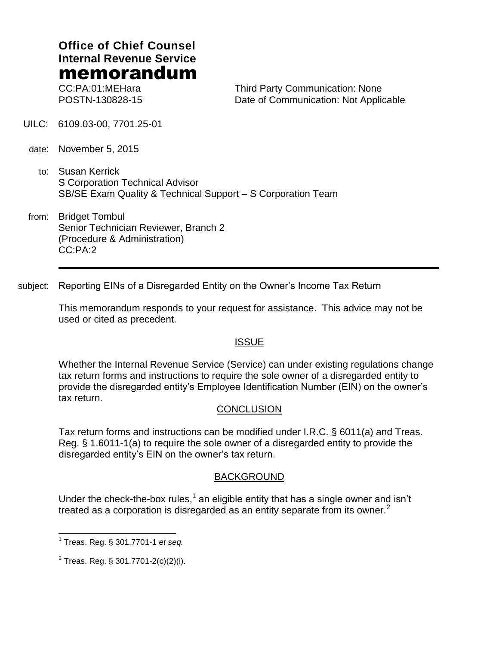# **Office of Chief Counsel Internal Revenue Service** memorandum

CC:PA:01:MEHara POSTN-130828-15 Third Party Communication: None Date of Communication: Not Applicable

- UILC: 6109.03-00, 7701.25-01
- date: November 5, 2015
	- to: Susan Kerrick S Corporation Technical Advisor SB/SE Exam Quality & Technical Support – S Corporation Team
- from: Bridget Tombul Senior Technician Reviewer, Branch 2 (Procedure & Administration) CC:PA:2

subject: Reporting EINs of a Disregarded Entity on the Owner's Income Tax Return

This memorandum responds to your request for assistance. This advice may not be used or cited as precedent.

# **ISSUE**

Whether the Internal Revenue Service (Service) can under existing regulations change tax return forms and instructions to require the sole owner of a disregarded entity to provide the disregarded entity's Employee Identification Number (EIN) on the owner's tax return.

# **CONCLUSION**

Tax return forms and instructions can be modified under I.R.C. § 6011(a) and Treas. Reg. § 1.6011-1(a) to require the sole owner of a disregarded entity to provide the disregarded entity's EIN on the owner's tax return.

# **BACKGROUND**

Under the check-the-box rules,<sup>1</sup> an eligible entity that has a single owner and isn't treated as a corporation is disregarded as an entity separate from its owner. $<sup>2</sup>$ </sup>

 $\overline{a}$ 

<sup>1</sup> Treas. Reg. § 301.7701-1 *et seq.*

 $^{2}$  Treas. Reg. § 301.7701-2(c)(2)(i).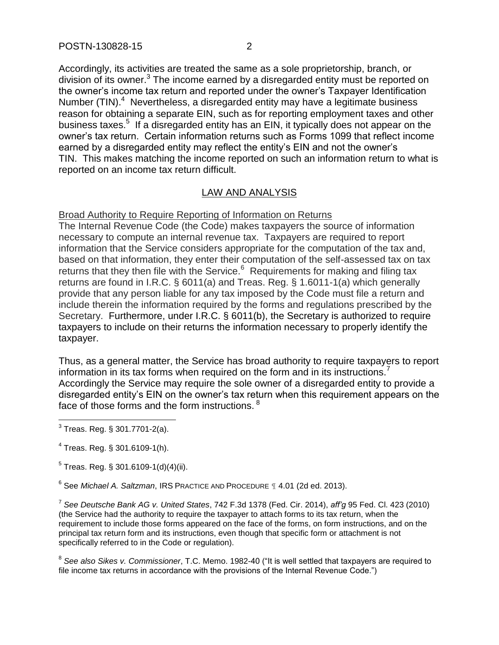Accordingly, its activities are treated the same as a sole proprietorship, branch, or division of its owner. $3$  The income earned by a disregarded entity must be reported on the owner's income tax return and reported under the owner's Taxpayer Identification Number  $(TIN)^4$  Nevertheless, a disregarded entity may have a legitimate business reason for obtaining a separate EIN, such as for reporting employment taxes and other business taxes.<sup>5</sup> If a disregarded entity has an EIN, it typically does not appear on the owner's tax return. Certain information returns such as Forms 1099 that reflect income earned by a disregarded entity may reflect the entity's EIN and not the owner's TIN. This makes matching the income reported on such an information return to what is reported on an income tax return difficult.

# LAW AND ANALYSIS

Broad Authority to Require Reporting of Information on Returns

The Internal Revenue Code (the Code) makes taxpayers the source of information necessary to compute an internal revenue tax. Taxpayers are required to report information that the Service considers appropriate for the computation of the tax and, based on that information, they enter their computation of the self-assessed tax on tax returns that they then file with the Service. $6$  Requirements for making and filing tax returns are found in I.R.C. § 6011(a) and Treas. Reg. § 1.6011-1(a) which generally provide that any person liable for any tax imposed by the Code must file a return and include therein the information required by the forms and regulations prescribed by the Secretary. Furthermore, under I.R.C. § 6011(b), the Secretary is authorized to require taxpayers to include on their returns the information necessary to properly identify the taxpayer.

Thus, as a general matter, the Service has broad authority to require taxpayers to report information in its tax forms when required on the form and in its instructions.<sup>7</sup> Accordingly the Service may require the sole owner of a disregarded entity to provide a disregarded entity's EIN on the owner's tax return when this requirement appears on the face of those forms and the form instructions. <sup>8</sup>

6 See *Michael A. Saltzman*, IRS PRACTICE AND PROCEDURE ¶ 4.01 (2d ed. 2013).

7 *See Deutsche Bank AG v. United States*, 742 F.3d 1378 (Fed. Cir. 2014), *aff'g* 95 Fed. Cl. 423 (2010) (the Service had the authority to require the taxpayer to attach forms to its tax return, when the requirement to include those forms appeared on the face of the forms, on form instructions, and on the principal tax return form and its instructions, even though that specific form or attachment is not specifically referred to in the Code or regulation).

8 *See also Sikes v. Commissioner*, T.C. Memo. 1982-40 ("It is well settled that taxpayers are required to file income tax returns in accordance with the provisions of the Internal Revenue Code.")

 3 Treas. Reg. § 301.7701-2(a).

<sup>4</sup> Treas. Reg. § 301.6109-1(h).

 $^5$  Treas. Reg. § 301.6109-1(d)(4)(ii).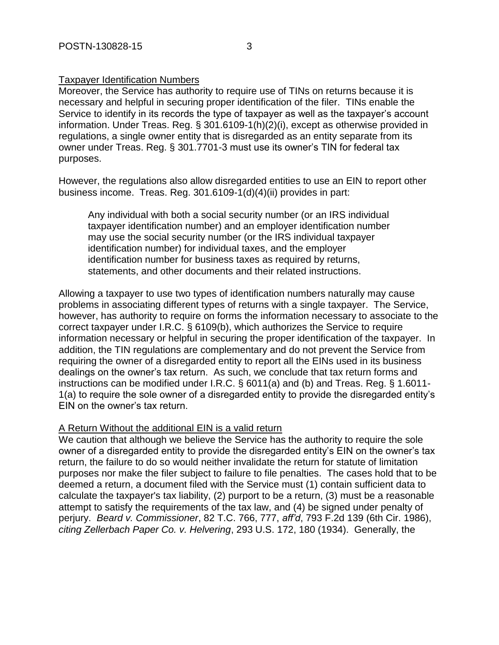### Taxpayer Identification Numbers

Moreover, the Service has authority to require use of TINs on returns because it is necessary and helpful in securing proper identification of the filer. TINs enable the Service to identify in its records the type of taxpayer as well as the taxpayer's account information. Under Treas. Reg. § 301.6109-1(h)(2)(i), except as otherwise provided in regulations, a single owner entity that is disregarded as an entity separate from its owner under Treas. Reg. § 301.7701-3 must use its owner's TIN for federal tax purposes.

However, the regulations also allow disregarded entities to use an EIN to report other business income. Treas. Reg. 301.6109-1(d)(4)(ii) provides in part:

Any individual with both a social security number (or an IRS individual taxpayer identification number) and an employer identification number may use the social security number (or the IRS individual taxpayer identification number) for individual taxes, and the employer identification number for business taxes as required by returns, statements, and other documents and their related instructions.

Allowing a taxpayer to use two types of identification numbers naturally may cause problems in associating different types of returns with a single taxpayer. The Service, however, has authority to require on forms the information necessary to associate to the correct taxpayer under I.R.C. § 6109(b), which authorizes the Service to require information necessary or helpful in securing the proper identification of the taxpayer. In addition, the TIN regulations are complementary and do not prevent the Service from requiring the owner of a disregarded entity to report all the EINs used in its business dealings on the owner's tax return. As such, we conclude that tax return forms and instructions can be modified under I.R.C. § 6011(a) and (b) and Treas. Reg. § 1.6011- 1(a) to require the sole owner of a disregarded entity to provide the disregarded entity's EIN on the owner's tax return.

### A Return Without the additional EIN is a valid return

We caution that although we believe the Service has the authority to require the sole owner of a disregarded entity to provide the disregarded entity's EIN on the owner's tax return, the failure to do so would neither invalidate the return for statute of limitation purposes nor make the filer subject to failure to file penalties. The cases hold that to be deemed a return, a document filed with the Service must (1) contain sufficient data to calculate the taxpayer's tax liability, (2) purport to be a return, (3) must be a reasonable attempt to satisfy the requirements of the tax law, and (4) be signed under penalty of perjury. *Beard v. Commissioner*, 82 T.C. 766, 777, *aff'd*, 793 F.2d 139 (6th Cir. 1986), *citing Zellerbach Paper Co. v. Helvering*, 293 U.S. 172, 180 (1934). Generally, the